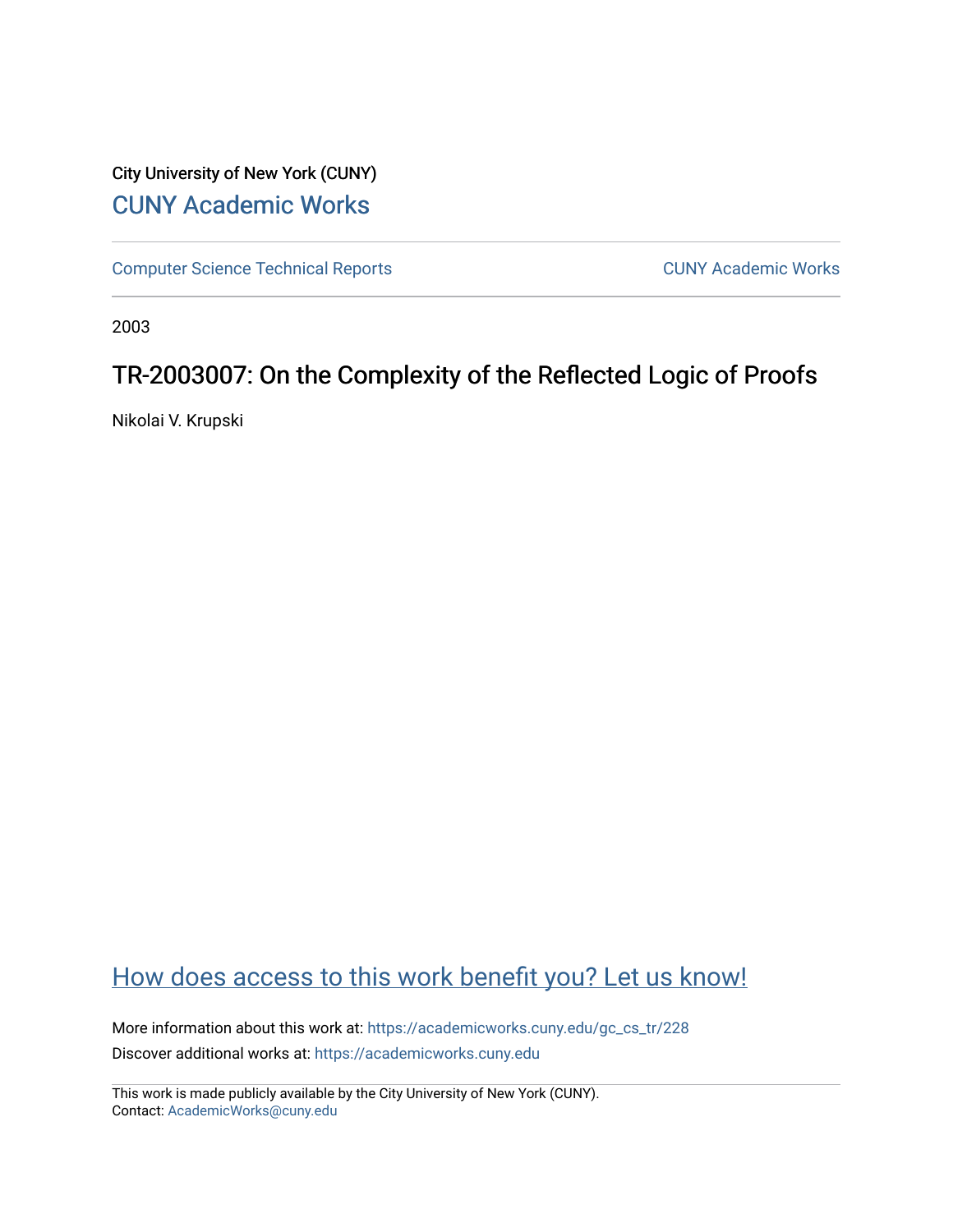### City University of New York (CUNY) [CUNY Academic Works](https://academicworks.cuny.edu/)

[Computer Science Technical Reports](https://academicworks.cuny.edu/gc_cs_tr) **CUNY Academic Works** CUNY Academic Works

2003

### TR-2003007: On the Complexity of the Reflected Logic of Proofs

Nikolai V. Krupski

## [How does access to this work benefit you? Let us know!](http://ols.cuny.edu/academicworks/?ref=https://academicworks.cuny.edu/gc_cs_tr/228)

More information about this work at: [https://academicworks.cuny.edu/gc\\_cs\\_tr/228](https://academicworks.cuny.edu/gc_cs_tr/228)  Discover additional works at: [https://academicworks.cuny.edu](https://academicworks.cuny.edu/?)

This work is made publicly available by the City University of New York (CUNY). Contact: [AcademicWorks@cuny.edu](mailto:AcademicWorks@cuny.edu)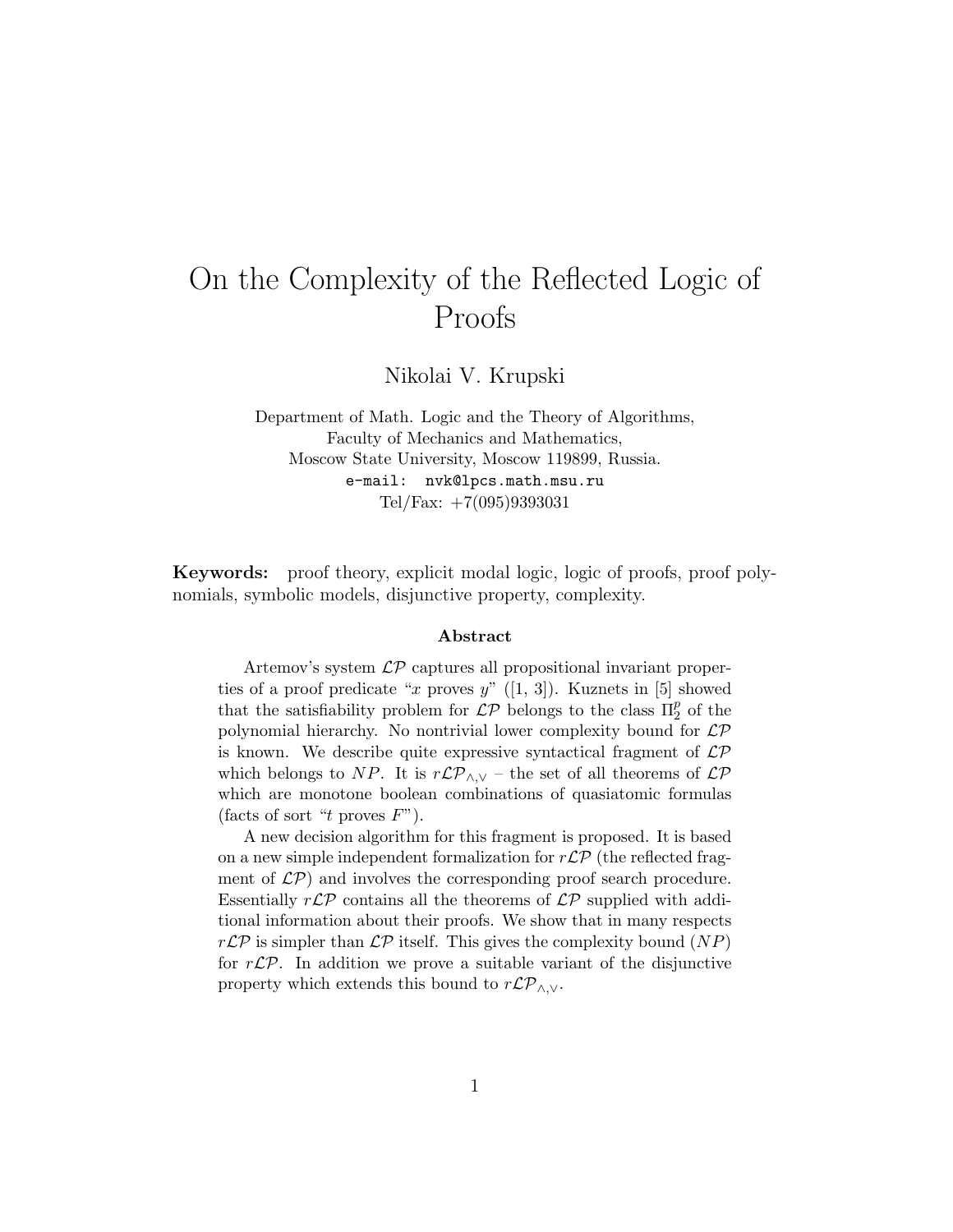# On the Complexity of the Reflected Logic of Proofs

Nikolai V. Krupski

Department of Math. Logic and the Theory of Algorithms, Faculty of Mechanics and Mathematics, Moscow State University, Moscow 119899, Russia. e-mail: nvk@lpcs.math.msu.ru Tel/Fax: +7(095)9393031

Keywords: proof theory, explicit modal logic, logic of proofs, proof polynomials, symbolic models, disjunctive property, complexity.

#### Abstract

Artemov's system LP captures all propositional invariant properties of a proof predicate "x proves  $y$ " ([1, 3]). Kuznets in [5] showed that the satisfiability problem for  $\mathcal{LP}$  belongs to the class  $\Pi_2^p$  of the polynomial hierarchy. No nontrivial lower complexity bound for  $\mathcal{LP}$ is known. We describe quite expressive syntactical fragment of  $\mathcal{LP}$ which belongs to NP. It is  $r\mathcal{LP}_{\wedge,\vee}$  – the set of all theorems of  $\mathcal{LP}$ which are monotone boolean combinations of quasiatomic formulas (facts of sort "t proves  $F$ ").

A new decision algorithm for this fragment is proposed. It is based on a new simple independent formalization for  $r\mathcal{LP}$  (the reflected fragment of  $\mathcal{LP}$ ) and involves the corresponding proof search procedure. Essentially  $r\mathcal{LP}$  contains all the theorems of  $\mathcal{LP}$  supplied with additional information about their proofs. We show that in many respects  $r\mathcal{LP}$  is simpler than  $\mathcal{LP}$  itself. This gives the complexity bound  $(NP)$ for  $r\mathcal{LP}$ . In addition we prove a suitable variant of the disjunctive property which extends this bound to  $r\mathcal{LP}_{\wedge,\vee}$ .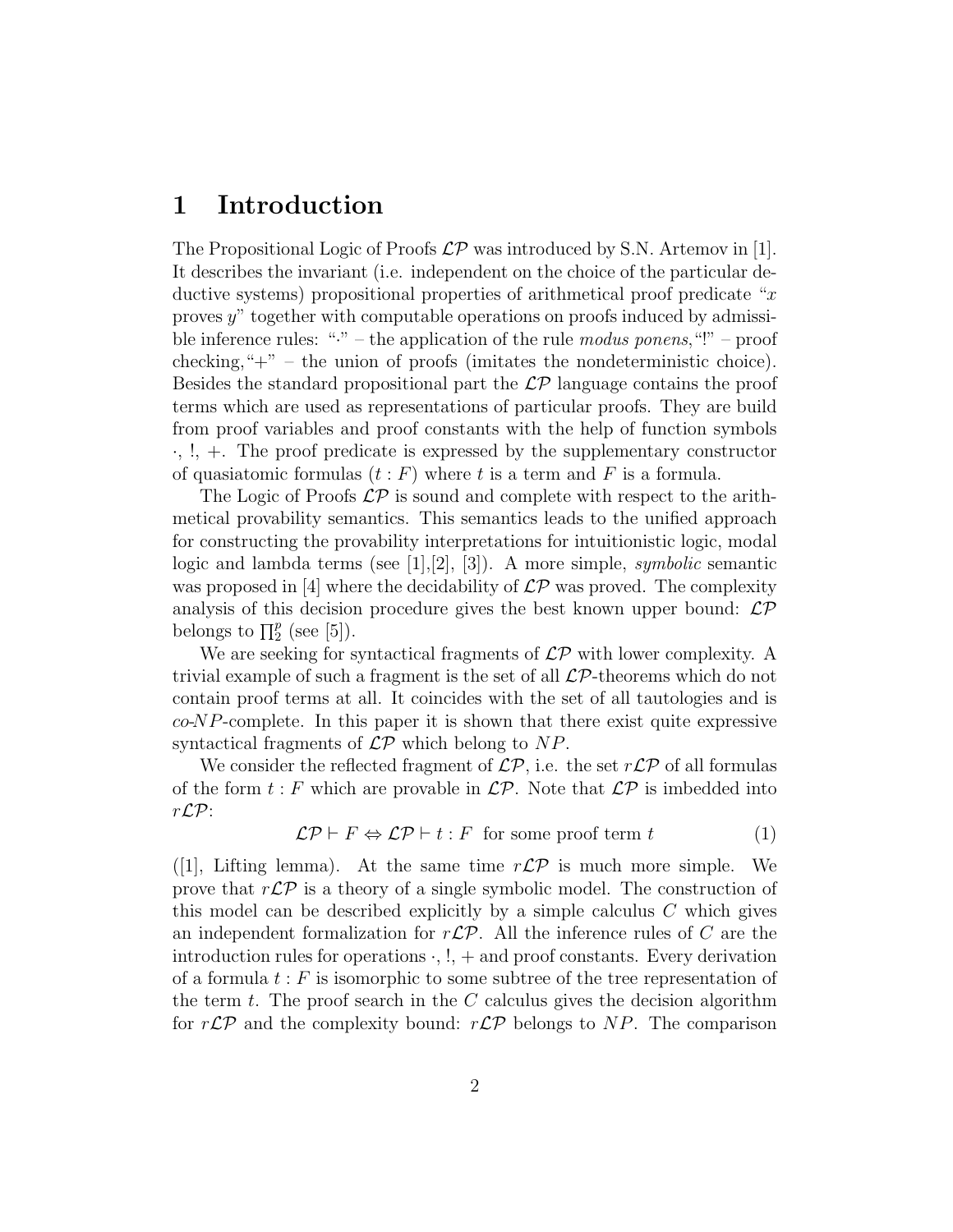### 1 Introduction

The Propositional Logic of Proofs  $\mathcal{LP}$  was introduced by S.N. Artemov in [1]. It describes the invariant (i.e. independent on the choice of the particular deductive systems) propositional properties of arithmetical proof predicate "x" proves y" together with computable operations on proofs induced by admissible inference rules: " $\cdot$ " – the application of the rule modus ponens, "!" – proof checking, " $+$ " – the union of proofs (imitates the nondeterministic choice). Besides the standard propositional part the  $\mathcal{LP}$  language contains the proof terms which are used as representations of particular proofs. They are build from proof variables and proof constants with the help of function symbols  $\cdot, \cdot$ ,  $\cdot, +$ . The proof predicate is expressed by the supplementary constructor of quasiatomic formulas  $(t : F)$  where t is a term and F is a formula.

The Logic of Proofs  $\mathcal{LP}$  is sound and complete with respect to the arithmetical provability semantics. This semantics leads to the unified approach for constructing the provability interpretations for intuitionistic logic, modal logic and lambda terms (see [1], [2], [3]). A more simple, *symbolic* semantic was proposed in [4] where the decidability of  $\mathcal{LP}$  was proved. The complexity analysis of this decision procedure gives the best known upper bound:  $\mathcal{LP}$ belongs to  $\prod_{2}^{p}$  (see [5]).

We are seeking for syntactical fragments of  $\mathcal{LP}$  with lower complexity. A trivial example of such a fragment is the set of all  $\mathcal{LP}$ -theorems which do not contain proof terms at all. It coincides with the set of all tautologies and is  $co-NP$ -complete. In this paper it is shown that there exist quite expressive syntactical fragments of  $\mathcal{LP}$  which belong to NP.

We consider the reflected fragment of  $\mathcal{LP}$ , i.e. the set  $r\mathcal{LP}$  of all formulas of the form  $t : F$  which are provable in  $\mathcal{LP}$ . Note that  $\mathcal{LP}$  is imbedded into rLP:

$$
\mathcal{LP} \vdash F \Leftrightarrow \mathcal{LP} \vdash t : F \text{ for some proof term } t \tag{1}
$$

([1], Lifting lemma). At the same time  $r\mathcal{LP}$  is much more simple. We prove that  $r\mathcal{LP}$  is a theory of a single symbolic model. The construction of this model can be described explicitly by a simple calculus  $C$  which gives an independent formalization for  $r\mathcal{LP}$ . All the inference rules of C are the introduction rules for operations  $\cdot$ ,  $!,$  + and proof constants. Every derivation of a formula  $t : F$  is isomorphic to some subtree of the tree representation of the term  $t$ . The proof search in the  $C$  calculus gives the decision algorithm for  $r\mathcal{LP}$  and the complexity bound:  $r\mathcal{LP}$  belongs to NP. The comparison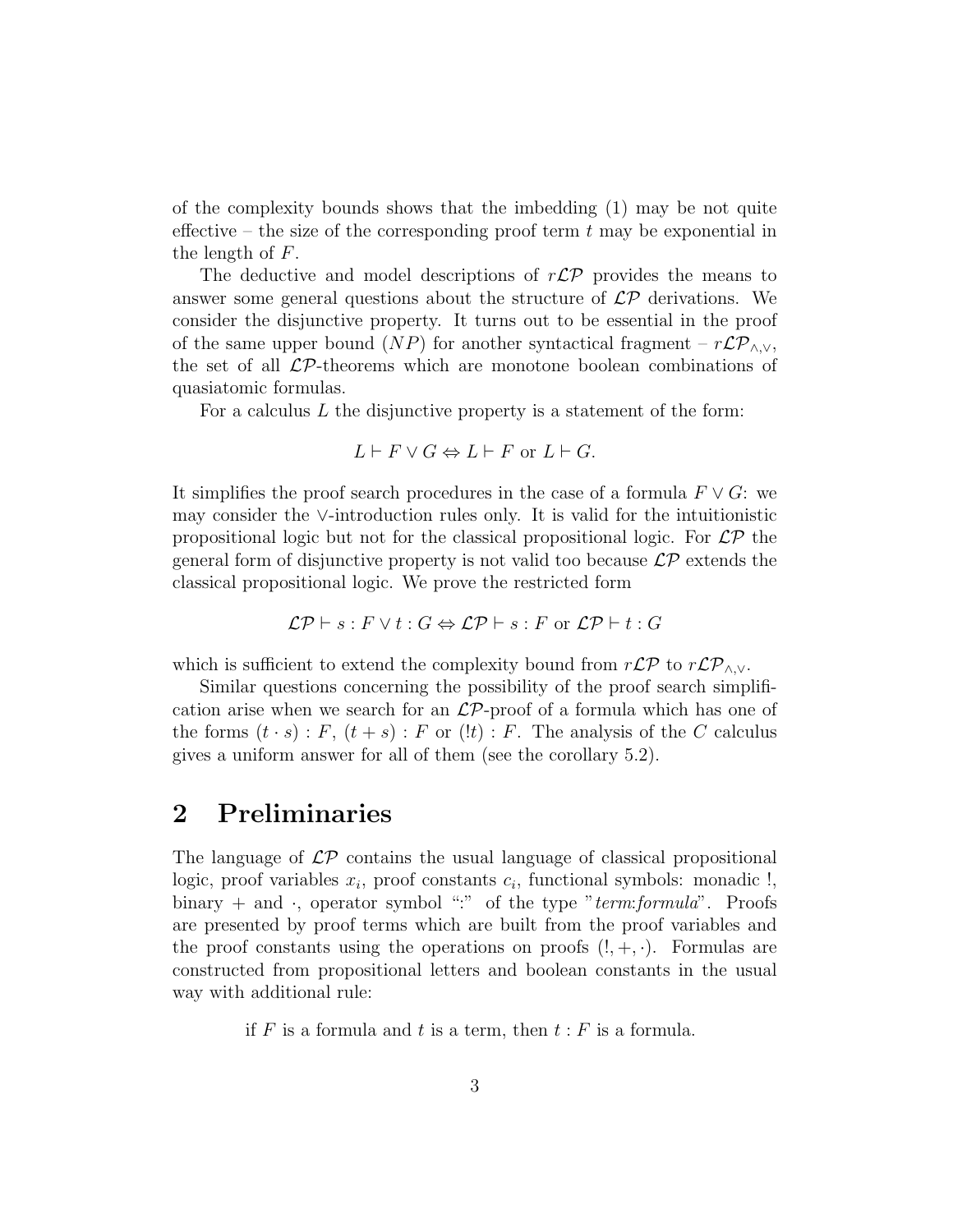of the complexity bounds shows that the imbedding (1) may be not quite effective – the size of the corresponding proof term  $t$  may be exponential in the length of F.

The deductive and model descriptions of  $r\mathcal{LP}$  provides the means to answer some general questions about the structure of  $\mathcal{LP}$  derivations. We consider the disjunctive property. It turns out to be essential in the proof of the same upper bound (NP) for another syntactical fragment –  $r\mathcal{LP}_{\wedge,\vee}$ , the set of all  $\mathcal{LP}$ -theorems which are monotone boolean combinations of quasiatomic formulas.

For a calculus  $L$  the disjunctive property is a statement of the form:

$$
L \vdash F \lor G \Leftrightarrow L \vdash F \text{ or } L \vdash G.
$$

It simplifies the proof search procedures in the case of a formula  $F \vee G$ : we may consider the ∨-introduction rules only. It is valid for the intuitionistic propositional logic but not for the classical propositional logic. For  $\mathcal{LP}$  the general form of disjunctive property is not valid too because  $\mathcal{LP}$  extends the classical propositional logic. We prove the restricted form

$$
\mathcal{LP} \vdash s : F \lor t : G \Leftrightarrow \mathcal{LP} \vdash s : F \text{ or } \mathcal{LP} \vdash t : G
$$

which is sufficient to extend the complexity bound from  $r\mathcal{LP}$  to  $r\mathcal{LP}_{\wedge,\vee}$ .

Similar questions concerning the possibility of the proof search simplification arise when we search for an  $\mathcal{LP}$ -proof of a formula which has one of the forms  $(t \cdot s)$ : F,  $(t + s)$ : F or  $(!t)$ : F. The analysis of the C calculus gives a uniform answer for all of them (see the corollary 5.2).

### 2 Preliminaries

The language of  $\mathcal{LP}$  contains the usual language of classical propositional logic, proof variables  $x_i$ , proof constants  $c_i$ , functional symbols: monadic !, binary  $+$  and  $\cdot$ , operator symbol ":" of the type "term: formula". Proofs are presented by proof terms which are built from the proof variables and the proof constants using the operations on proofs  $(!, +, \cdot)$ . Formulas are constructed from propositional letters and boolean constants in the usual way with additional rule:

if  $F$  is a formula and  $t$  is a term, then  $t : F$  is a formula.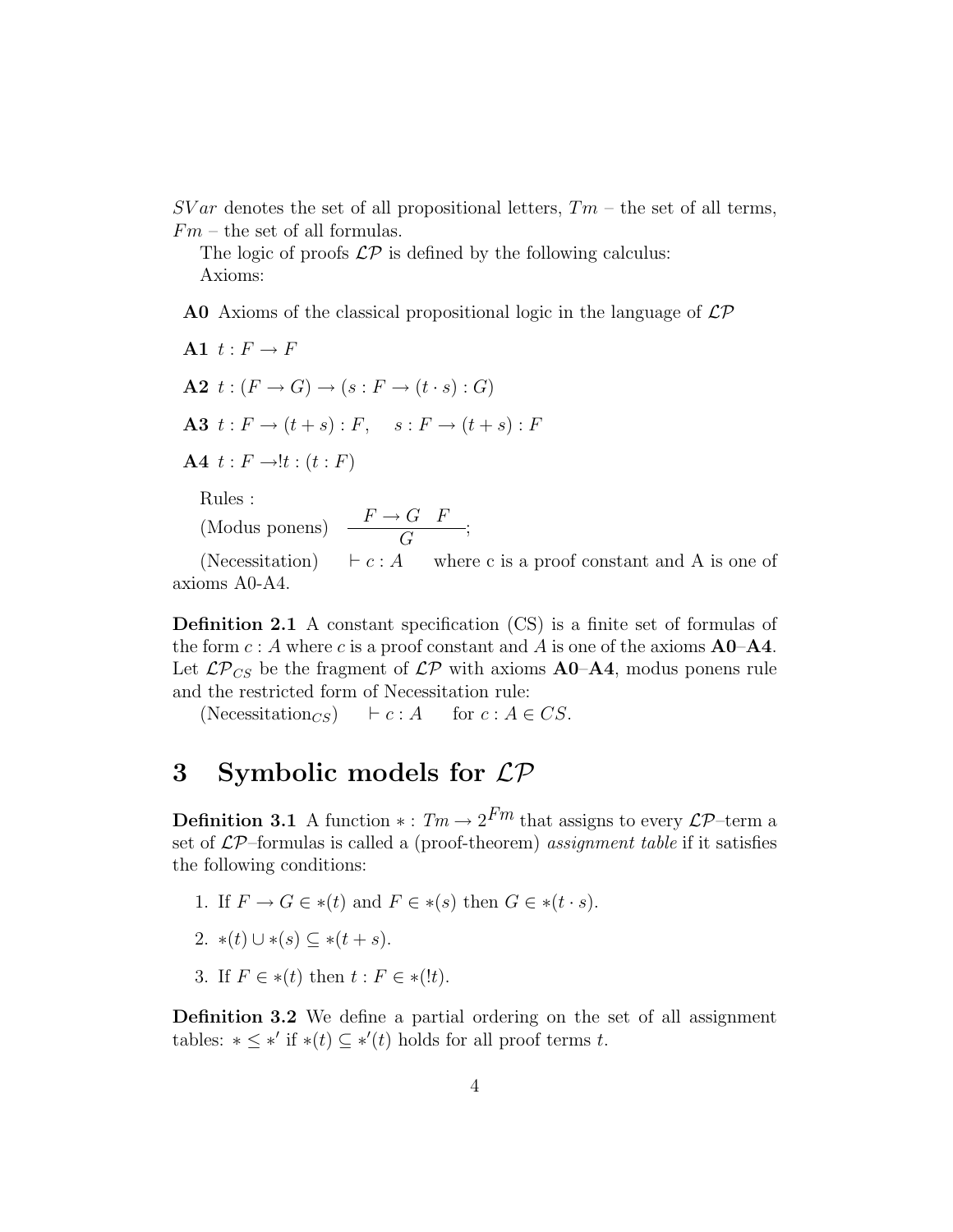$SVar$  denotes the set of all propositional letters,  $Tm$  – the set of all terms,  $Fm$  – the set of all formulas.

The logic of proofs  $\mathcal{LP}$  is defined by the following calculus: Axioms:

**A0** Axioms of the classical propositional logic in the language of  $\mathcal{LP}$ 

A1  $t : F \to F$  $\mathbf{A2} \; t : (F \rightarrow G) \rightarrow (s : F \rightarrow (t \cdot s) : G)$ A3  $t : F \rightarrow (t + s) : F, \quad s : F \rightarrow (t + s) : F$ A4  $t: F \rightarrow !t: (t: F)$ 

Rules :

(Modus ponens)  $\frac{F \to G \ F}{G}$ ;

(Necessitation)  $\vdash c : A$  where c is a proof constant and A is one of axioms A0-A4.

Definition 2.1 A constant specification (CS) is a finite set of formulas of the form  $c : A$  where c is a proof constant and A is one of the axioms  $A_0 - A_4$ . Let  $\mathcal{LP}_{CS}$  be the fragment of  $\mathcal{LP}$  with axioms  $\mathbf{A0}$ - $\mathbf{A4}$ , modus ponens rule and the restricted form of Necessitation rule:

(Necessitation<sub>CS</sub>)  $\vdash c : A$  for  $c : A \in CS$ .

### 3 Symbolic models for LP

**Definition 3.1** A function  $* : Tm \to 2^{Fm}$  that assigns to every  $\mathcal{LP}$ -term a set of  $\mathcal{LP}$ -formulas is called a (proof-theorem) assignment table if it satisfies the following conditions:

- 1. If  $F \to G \in * (t)$  and  $F \in * (s)$  then  $G \in * (t \cdot s)$ .
- 2. \*(t)  $\cup$  \*(s)  $\subset$  \*(t+s).
- 3. If  $F \in *(t)$  then  $t : F \in *(!t)$ .

Definition 3.2 We define a partial ordering on the set of all assignment tables:  $*\leq *'$  if  $*(t) \subseteq *'(t)$  holds for all proof terms t.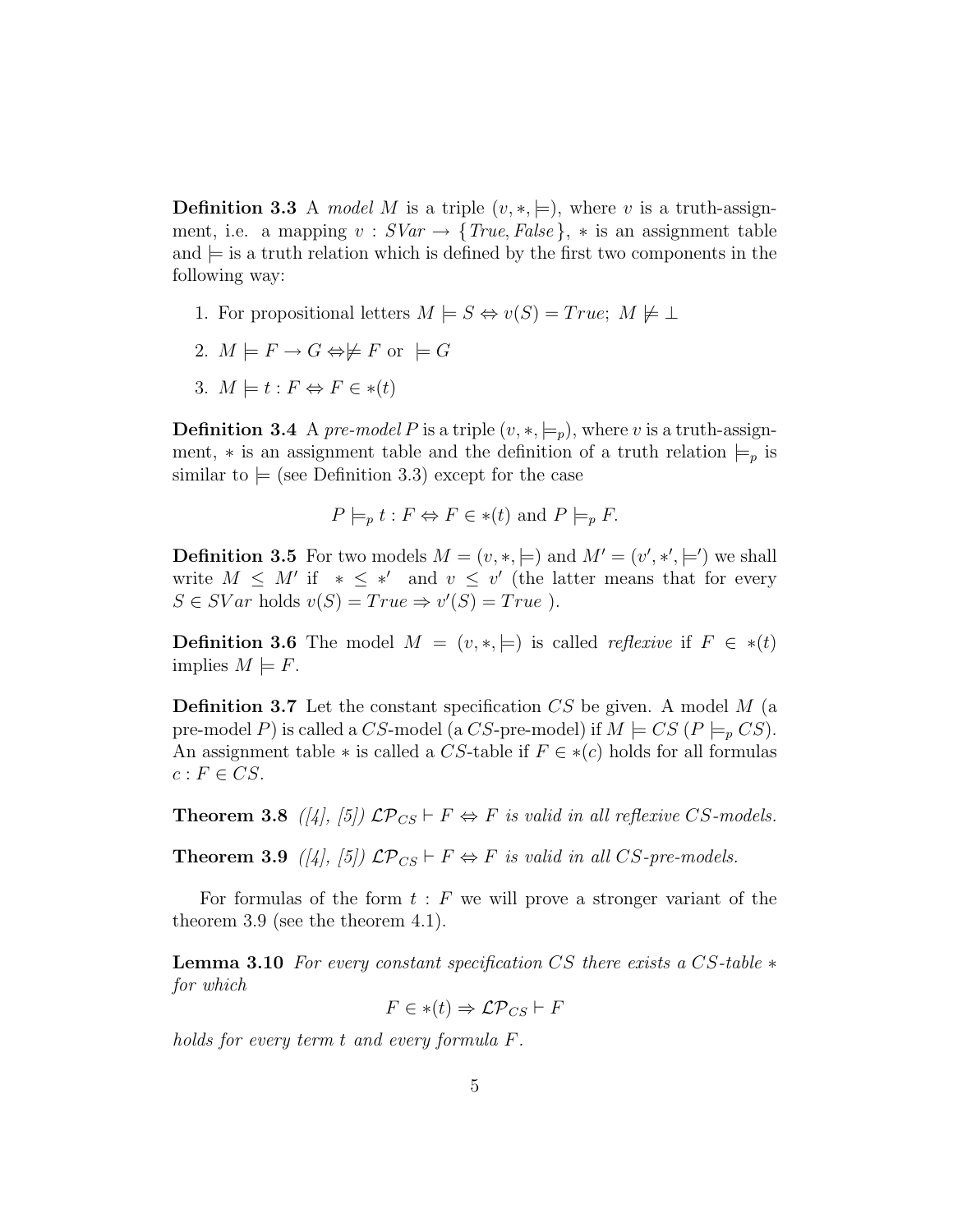**Definition 3.3** A model M is a triple  $(v, *, =)$ , where v is a truth-assignment, i.e. a mapping  $v : SVar \rightarrow \{True, False\}$ ,  $*$  is an assignment table and  $\equiv$  is a truth relation which is defined by the first two components in the following way:

- 1. For propositional letters  $M \models S \Leftrightarrow v(S) = True; M \not\models \bot$
- 2.  $M \models F \rightarrow G \Leftrightarrow \not\models F$  or  $\models G$
- 3.  $M \models t : F \Leftrightarrow F \in *(t)$

**Definition 3.4** A pre-model P is a triple  $(v, *, \models_p)$ , where v is a truth-assignment,  $*$  is an assignment table and the definition of a truth relation  $\models_p$  is similar to  $=$  (see Definition 3.3) except for the case

$$
P \models_p t : F \Leftrightarrow F \in *(t)
$$
 and  $P \models_p F$ .

**Definition 3.5** For two models  $M = (v, *, \models)$  and  $M' = (v', *, \models')$  we shall write  $M \leq M'$  if  $* \leq *'$  and  $v \leq v'$  (the latter means that for every  $S \in SVar$  holds  $v(S) = True \Rightarrow v'(S) = True$ .

**Definition 3.6** The model  $M = (v, *, \models)$  is called *reflexive* if  $F \in *(t)$ implies  $M \models F$ .

**Definition 3.7** Let the constant specification  $CS$  be given. A model  $M$  (a pre-model P) is called a CS-model (a CS-pre-model) if  $M \models CS (P \models p CS)$ . An assignment table  $*$  is called a CS-table if  $F \in *(c)$  holds for all formulas  $c: F \in CS$ .

**Theorem 3.8** ([4], [5])  $\mathcal{LP}_{CS} \vdash F \Leftrightarrow F$  is valid in all reflexive CS-models.

**Theorem 3.9** ([4], [5])  $\mathcal{LP}_{CS} \vdash F \Leftrightarrow F$  is valid in all CS-pre-models.

For formulas of the form  $t : F$  we will prove a stronger variant of the theorem 3.9 (see the theorem 4.1).

**Lemma 3.10** For every constant specification CS there exists a CS-table  $*$ for which

$$
F \in *(t) \Rightarrow \mathcal{LP}_{CS} \vdash F
$$

holds for every term t and every formula F.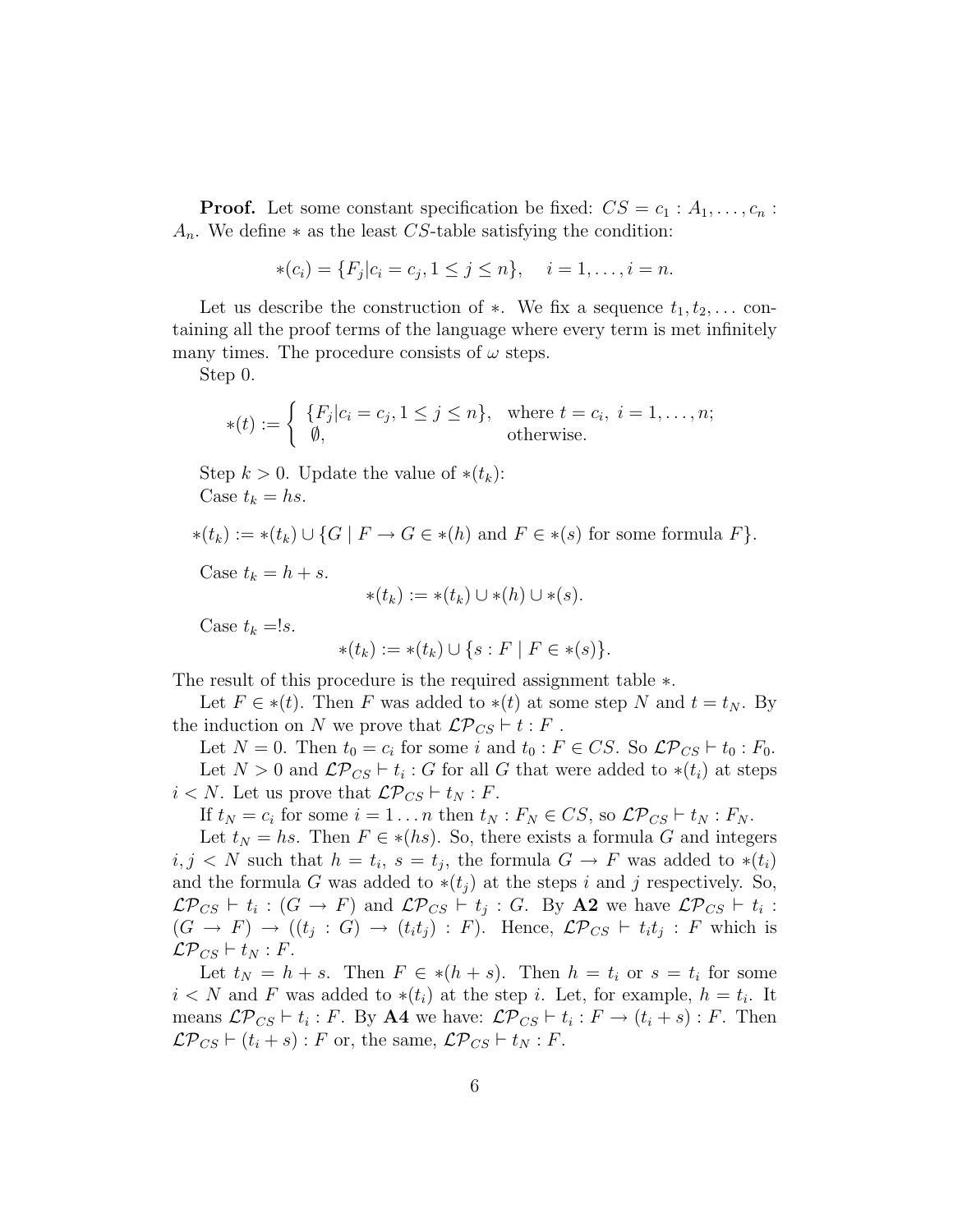**Proof.** Let some constant specification be fixed:  $CS = c_1 : A_1, \ldots, c_n$ :  $A_n$ . We define  $*$  as the least CS-table satisfying the condition:

$$
*(c_i) = \{F_j | c_i = c_j, 1 \le j \le n\}, \quad i = 1, \dots, i = n.
$$

Let us describe the construction of  $\ast$ . We fix a sequence  $t_1, t_2, \ldots$  containing all the proof terms of the language where every term is met infinitely many times. The procedure consists of  $\omega$  steps.

Step 0.

$$
\ast(t) := \begin{cases} \{F_j|c_i = c_j, 1 \leq j \leq n\}, & \text{where } t = c_i, i = 1, \dots, n; \\ \emptyset, & \text{otherwise.} \end{cases}
$$

Step  $k > 0$ . Update the value of  $*(t_k)$ : Case  $t_k = hs$ .

 $*(t_k) := *(t_k) \cup \{G \mid F \to G \in *(h) \text{ and } F \in *(s) \text{ for some formula } F\}.$ 

Case  $t_k = h + s$ .

$$
*(t_k) := *(t_k) \cup *(h) \cup *(s).
$$

Case  $t_k = s$ .

$$
*(t_k) := *(t_k) \cup \{ s : F \mid F \in *(s) \}.
$$

The result of this procedure is the required assignment table ∗.

Let  $F \in *(t)$ . Then F was added to  $*(t)$  at some step N and  $t = t_N$ . By the induction on N we prove that  $\mathcal{LP}_{CS} \vdash t : F$ .

Let  $N = 0$ . Then  $t_0 = c_i$  for some i and  $t_0 : F \in CS$ . So  $\mathcal{LP}_{CS} \vdash t_0 : F_0$ . Let  $N > 0$  and  $\mathcal{LP}_{CS} \vdash t_i : G$  for all G that were added to  $*(t_i)$  at steps  $i < N$ . Let us prove that  $\mathcal{LP}_{CS} \vdash t_N : F$ .

If  $t_N = c_i$  for some  $i = 1 \dots n$  then  $t_N : F_N \in CS$ , so  $\mathcal{LP}_{CS} \vdash t_N : F_N$ .

Let  $t_N = hs$ . Then  $F \in \ast(hs)$ . So, there exists a formula G and integers  $i, j \lt N$  such that  $h = t_i$ ,  $s = t_j$ , the formula  $G \to F$  was added to  $*(t_i)$ and the formula G was added to  $*(t_i)$  at the steps i and j respectively. So,  $\mathcal{LP}_{CS} \vdash t_i : (G \to F)$  and  $\mathcal{LP}_{CS} \vdash t_j : G$ . By A2 we have  $\mathcal{LP}_{CS} \vdash t_i :$  $(G \to F) \to ((t_j : G) \to (t_i t_j) : F)$ . Hence,  $\mathcal{LP}_{CS} \vdash t_i t_j : F$  which is  $\mathcal{LP}_{CS} \vdash t_N : F.$ 

Let  $t_N = h + s$ . Then  $F \in *(h + s)$ . Then  $h = t_i$  or  $s = t_i$  for some  $i < N$  and F was added to  $*(t_i)$  at the step i. Let, for example,  $h = t_i$ . It means  $\mathcal{LP}_{CS} \vdash t_i : F$ . By A4 we have:  $\mathcal{LP}_{CS} \vdash t_i : F \rightarrow (t_i + s) : F$ . Then  $\mathcal{LP}_{CS} \vdash (t_i + s) : F$  or, the same,  $\mathcal{LP}_{CS} \vdash t_N : F$ .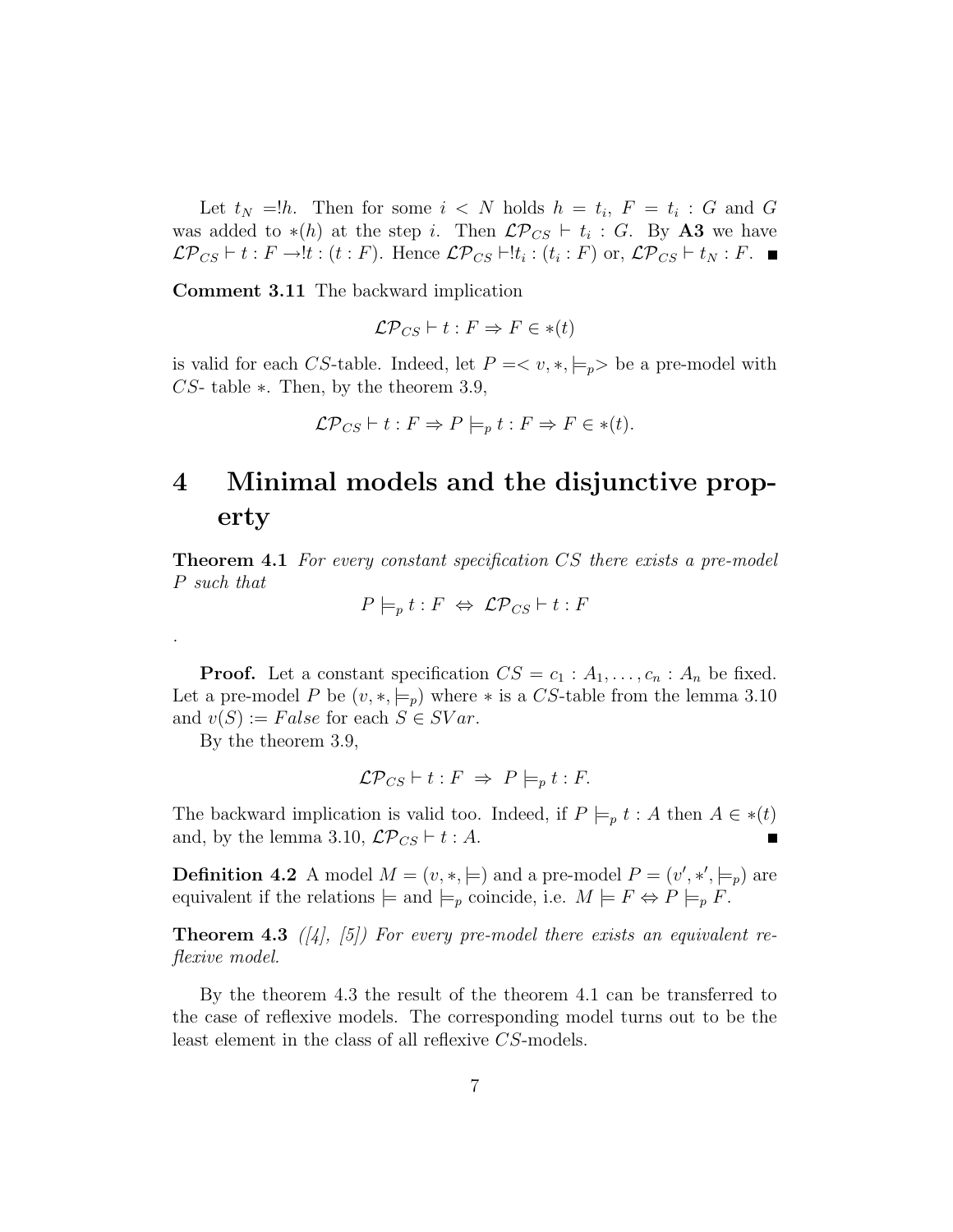Let  $t_N = h$ . Then for some  $i < N$  holds  $h = t_i$ ,  $F = t_i$ : G and G was added to  $*(h)$  at the step i. Then  $\mathcal{LP}_{CS} \vdash t_i : G$ . By A3 we have  $\mathcal{LP}_{CS} \vdash t : F \rightarrow !t : (t : F)$ . Hence  $\mathcal{LP}_{CS} \vdash !t_i : (t_i : F)$  or,  $\mathcal{LP}_{CS} \vdash t_N : F$ .

Comment 3.11 The backward implication

$$
\mathcal{LP}_{CS} \vdash t : F \Rightarrow F \in *(t)
$$

is valid for each CS-table. Indeed, let  $P = \langle v, *, \models_p \rangle$  be a pre-model with CS- table ∗. Then, by the theorem 3.9,

$$
\mathcal{LP}_{CS} \vdash t : F \Rightarrow P \models_p t : F \Rightarrow F \in *(t).
$$

## 4 Minimal models and the disjunctive property

**Theorem 4.1** For every constant specification CS there exists a pre-model P such that

$$
P \models_p t : F \Leftrightarrow \mathcal{LP}_{CS} \vdash t : F
$$

**Proof.** Let a constant specification  $CS = c_1 : A_1, \ldots, c_n : A_n$  be fixed. Let a pre-model P be  $(v, *, \models_p)$  where  $*$  is a CS-table from the lemma 3.10 and  $v(S) := False$  for each  $S \in SVar$ .

By the theorem 3.9,

.

$$
\mathcal{LP}_{CS} \vdash t : F \;\Rightarrow\; P \models_p t : F.
$$

The backward implication is valid too. Indeed, if  $P \models_p t : A$  then  $A \in *$  (*t*) and, by the lemma 3.10,  $\mathcal{LP}_{CS} \vdash t : A$ .

**Definition 4.2** A model  $M = (v, *, \models)$  and a pre-model  $P = (v', *, \models_p)$  are equivalent if the relations  $\models$  and  $\models_p$  coincide, i.e.  $M \models F \Leftrightarrow P \models_p F$ .

**Theorem 4.3** ([4], [5]) For every pre-model there exists an equivalent reflexive model.

By the theorem 4.3 the result of the theorem 4.1 can be transferred to the case of reflexive models. The corresponding model turns out to be the least element in the class of all reflexive CS-models.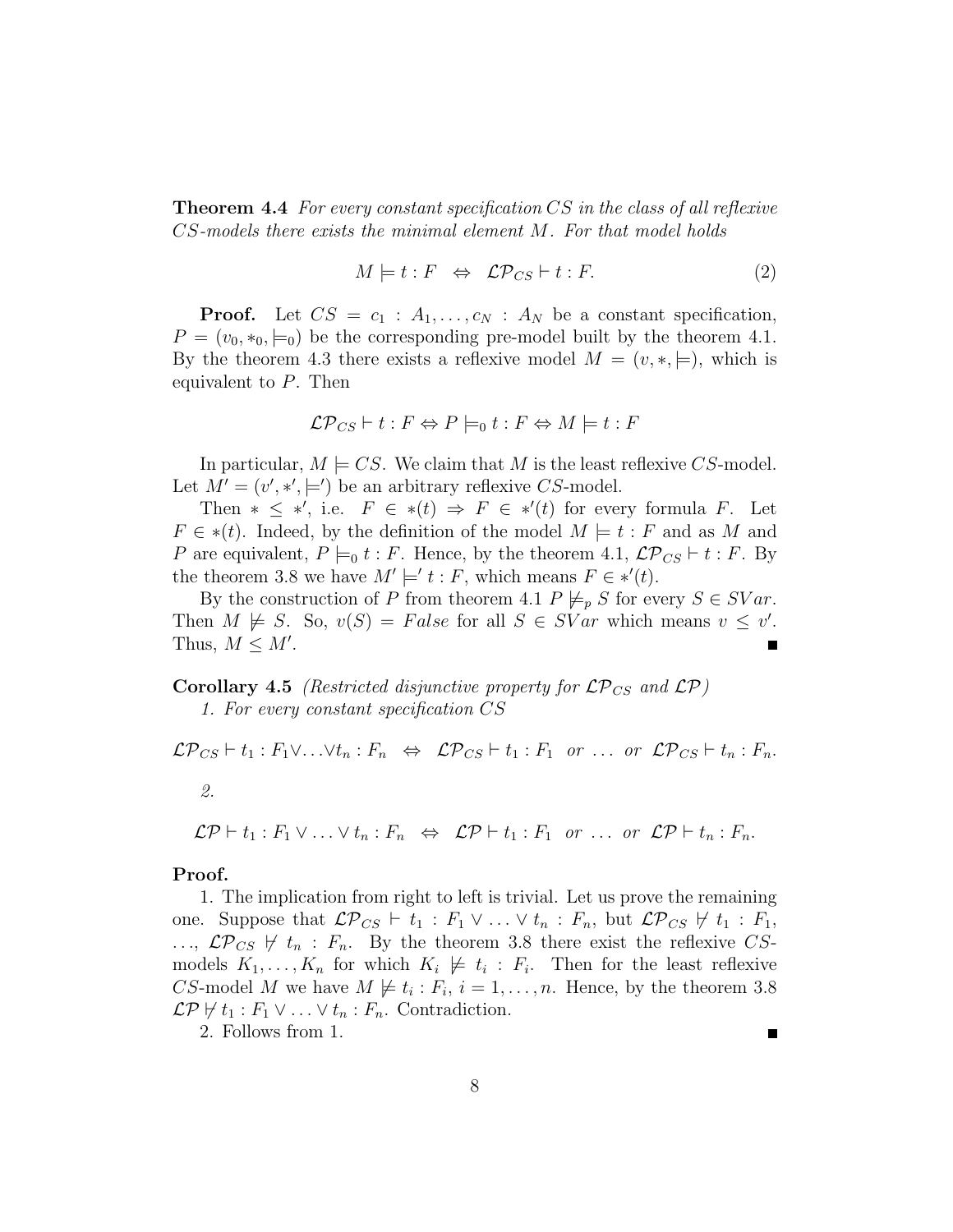**Theorem 4.4** For every constant specification CS in the class of all reflexive CS-models there exists the minimal element M. For that model holds

$$
M \models t : F \Leftrightarrow \mathcal{LP}_{CS} \vdash t : F. \tag{2}
$$

**Proof.** Let  $CS = c_1 : A_1, \ldots, c_N : A_N$  be a constant specification,  $P = (v_0, *_0, \models_0)$  be the corresponding pre-model built by the theorem 4.1. By the theorem 4.3 there exists a reflexive model  $M = (v, \ast, \models)$ , which is equivalent to P. Then

$$
\mathcal{LP}_{CS} \vdash t : F \Leftrightarrow P \models_0 t : F \Leftrightarrow M \models t : F
$$

In particular,  $M \models CS$ . We claim that M is the least reflexive CS-model. Let  $M' = (v', \ast', \models')$  be an arbitrary reflexive CS-model.

Then  $* \leq *',$  i.e.  $F \in *$  $(t) \Rightarrow F \in *'$  $(t)$  for every formula F. Let  $F \in * (t)$ . Indeed, by the definition of the model  $M \models t : F$  and as M and P are equivalent,  $P \models_0 t : F$ . Hence, by the theorem 4.1,  $\mathcal{LP}_{CS} \vdash t : F$ . By the theorem 3.8 we have  $M' \models' t : F$ , which means  $F \in *'(t)$ .

By the construction of P from theorem 4.1  $P \not\models_{p} S$  for every  $S \in SVar$ . Then  $M \not\models S$ . So,  $v(S) = False$  for all  $S \in SVar$  which means  $v \leq v'$ . Thus,  $M \leq M'$ .

**Corollary 4.5** (Restricted disjunctive property for  $\mathcal{LP}_{CS}$  and  $\mathcal{LP}$ )

1. For every constant specification CS

$$
\mathcal{LP}_{CS} \vdash t_1 : F_1 \vee \ldots \vee t_n : F_n \Leftrightarrow \mathcal{LP}_{CS} \vdash t_1 : F_1 \text{ or } \ldots \text{ or } \mathcal{LP}_{CS} \vdash t_n : F_n.
$$
  
2.  

$$
\mathcal{LP} \vdash t_1 : F_1 \vee \ldots \vee t_n : F_n \Leftrightarrow \mathcal{LP} \vdash t_1 : F_1 \text{ or } \ldots \text{ or } \mathcal{LP} \vdash t_n : F_n.
$$

#### Proof.

1. The implication from right to left is trivial. Let us prove the remaining one. Suppose that  $\mathcal{LP}_{CS} \vdash t_1 : F_1 \vee \ldots \vee t_n : F_n$ , but  $\mathcal{LP}_{CS} \not\vdash t_1 : F_1$ ,  $\ldots, \mathcal{LP}_{CS}$   $\forall$   $t_n : F_n$ . By the theorem 3.8 there exist the reflexive CSmodels  $K_1, \ldots, K_n$  for which  $K_i \not\models t_i : F_i$ . Then for the least reflexive CS-model M we have  $M \not\models t_i : F_i, i = 1, \ldots, n$ . Hence, by the theorem 3.8  $\mathcal{LP} \nvDash t_1 : F_1 \vee \ldots \vee t_n : F_n$ . Contradiction.

2. Follows from 1.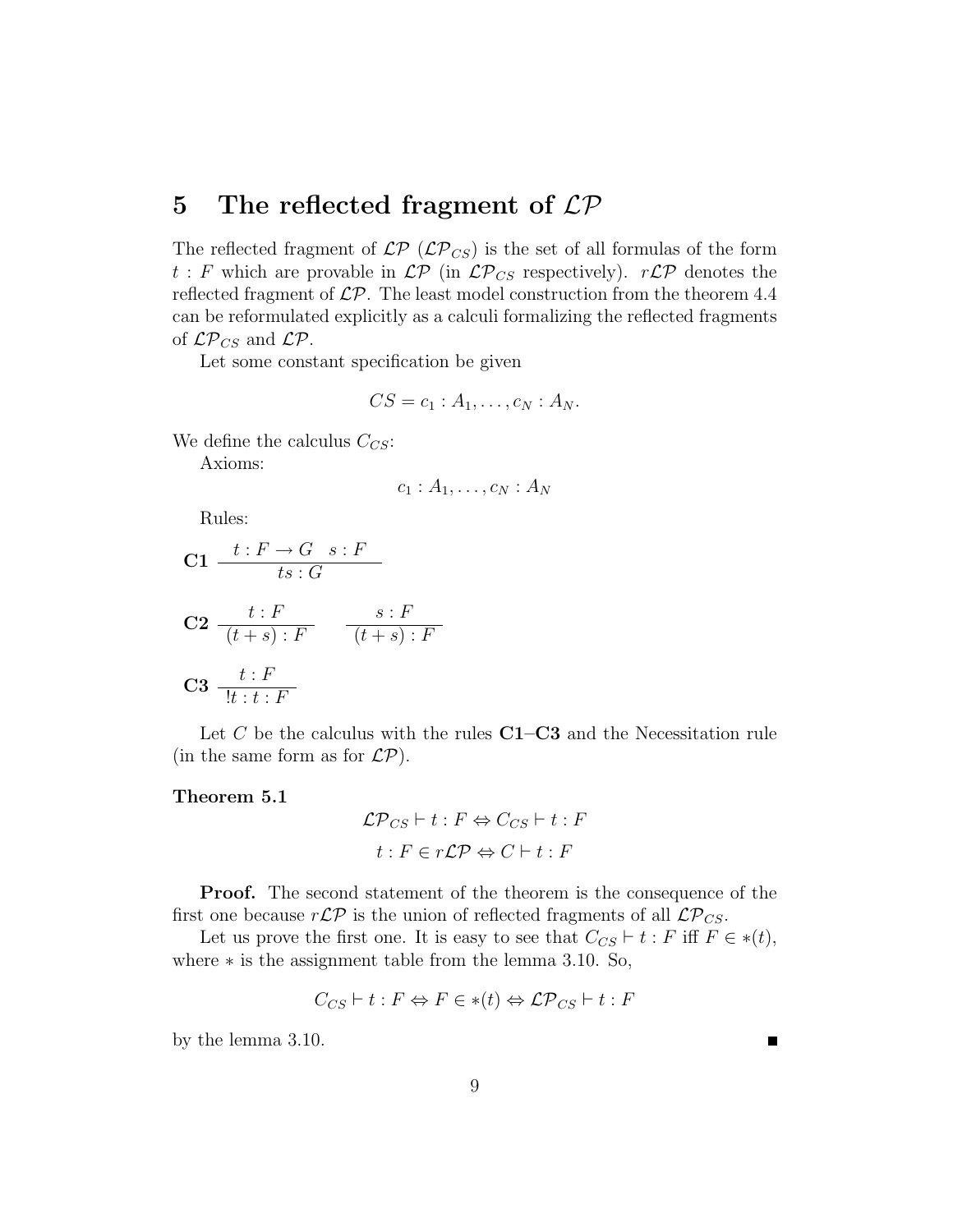## 5 The reflected fragment of  $\mathcal{LP}$

The reflected fragment of  $\mathcal{LP}(L\mathcal{P}_{CS})$  is the set of all formulas of the form  $t: F$  which are provable in  $\mathcal{LP}$  (in  $\mathcal{LP}_{CS}$  respectively).  $r\mathcal{LP}$  denotes the reflected fragment of  $\mathcal{LP}$ . The least model construction from the theorem 4.4 can be reformulated explicitly as a calculi formalizing the reflected fragments of  $\mathcal{LP}_{CS}$  and  $\mathcal{LP}.$ 

Let some constant specification be given

$$
CS = c_1 : A_1, \ldots, c_N : A_N.
$$

We define the calculus  $C_{CS}$ :

Axioms:

$$
c_1:A_1,\ldots,c_N:A_N
$$

Rules:

$$
C1 \frac{t: F \to G \quad s: F}{ts: G}
$$
\n
$$
C2 \frac{t: F}{(t+s): F} \frac{s: F}{(t+s): F}
$$
\n
$$
C3 \frac{t: F}{!t: t: F}
$$

Let  $C$  be the calculus with the rules  $C1-C3$  and the Necessitation rule (in the same form as for  $\mathcal{LP}$ ).

#### Theorem 5.1

$$
\mathcal{LP}_{CS} \vdash t : F \Leftrightarrow C_{CS} \vdash t : F
$$

$$
t : F \in r\mathcal{LP} \Leftrightarrow C \vdash t : F
$$

**Proof.** The second statement of the theorem is the consequence of the first one because  $r\mathcal{LP}$  is the union of reflected fragments of all  $\mathcal{LP}_{CS}$ .

Let us prove the first one. It is easy to see that  $C_{CS} \vdash t : F$  iff  $F \in *(t)$ , where ∗ is the assignment table from the lemma 3.10. So,

$$
C_{CS} \vdash t : F \Leftrightarrow F \in *(t) \Leftrightarrow \mathcal{LP}_{CS} \vdash t : F
$$

by the lemma 3.10.

п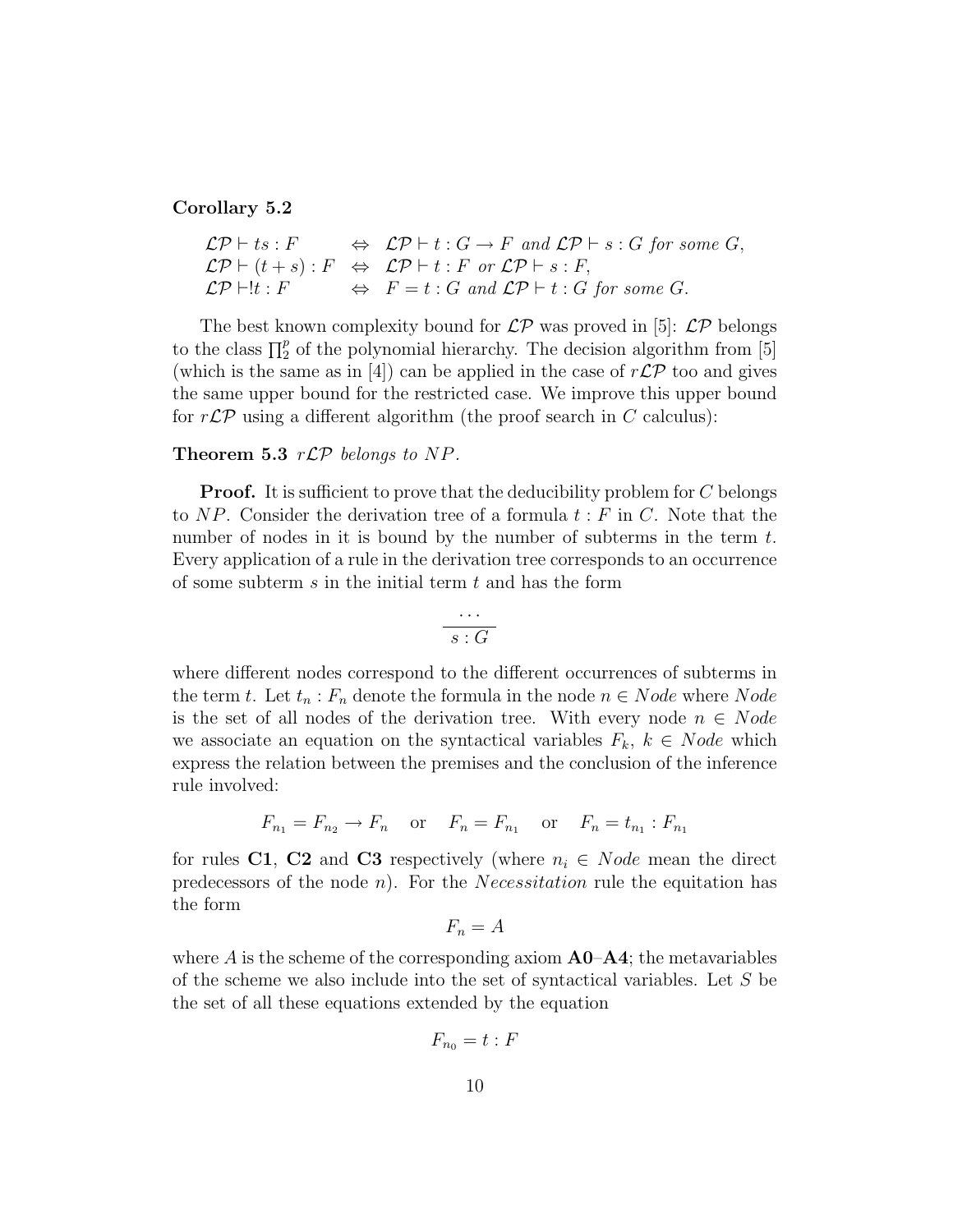#### Corollary 5.2

$$
\mathcal{LP} \vdash ts : F \Leftrightarrow \mathcal{LP} \vdash t : G \to F \text{ and } \mathcal{LP} \vdash s : G \text{ for some } G,
$$
  

$$
\mathcal{LP} \vdash (t + s) : F \Leftrightarrow \mathcal{LP} \vdash t : F \text{ or } \mathcal{LP} \vdash s : F,
$$
  

$$
\mathcal{LP} \vdash !t : F \Leftrightarrow F = t : G \text{ and } \mathcal{LP} \vdash t : G \text{ for some } G.
$$

The best known complexity bound for  $\mathcal{LP}$  was proved in [5]:  $\mathcal{LP}$  belongs to the class  $\prod_{i=1}^{p}$  of the polynomial hierarchy. The decision algorithm from [5] (which is the same as in [4]) can be applied in the case of  $r\mathcal{LP}$  too and gives the same upper bound for the restricted case. We improve this upper bound for  $r\mathcal{LP}$  using a different algorithm (the proof search in C calculus):

#### Theorem 5.3  $r\mathcal{LP}$  belongs to NP.

**Proof.** It is sufficient to prove that the deducibility problem for  $C$  belongs to NP. Consider the derivation tree of a formula  $t : F$  in C. Note that the number of nodes in it is bound by the number of subterms in the term t. Every application of a rule in the derivation tree corresponds to an occurrence of some subterm  $s$  in the initial term  $t$  and has the form

$$
\frac{\cdots}{s:G}
$$

where different nodes correspond to the different occurrences of subterms in the term t. Let  $t_n$ :  $F_n$  denote the formula in the node  $n \in Node$  where  $Node$ is the set of all nodes of the derivation tree. With every node  $n \in Node$ we associate an equation on the syntactical variables  $F_k$ ,  $k \in Node$  which express the relation between the premises and the conclusion of the inference rule involved:

$$
F_{n_1} = F_{n_2} \to F_n
$$
 or  $F_n = F_{n_1}$  or  $F_n = t_{n_1} : F_{n_1}$ 

for rules C1, C2 and C3 respectively (where  $n_i \in Node$  mean the direct predecessors of the node *n*). For the *Necessitation* rule the equitation has the form

$$
F_n = A
$$

where A is the scheme of the corresponding axiom  $\mathbf{A}0-\mathbf{A}4$ ; the metavariables of the scheme we also include into the set of syntactical variables. Let S be the set of all these equations extended by the equation

$$
F_{n_0}=t:F
$$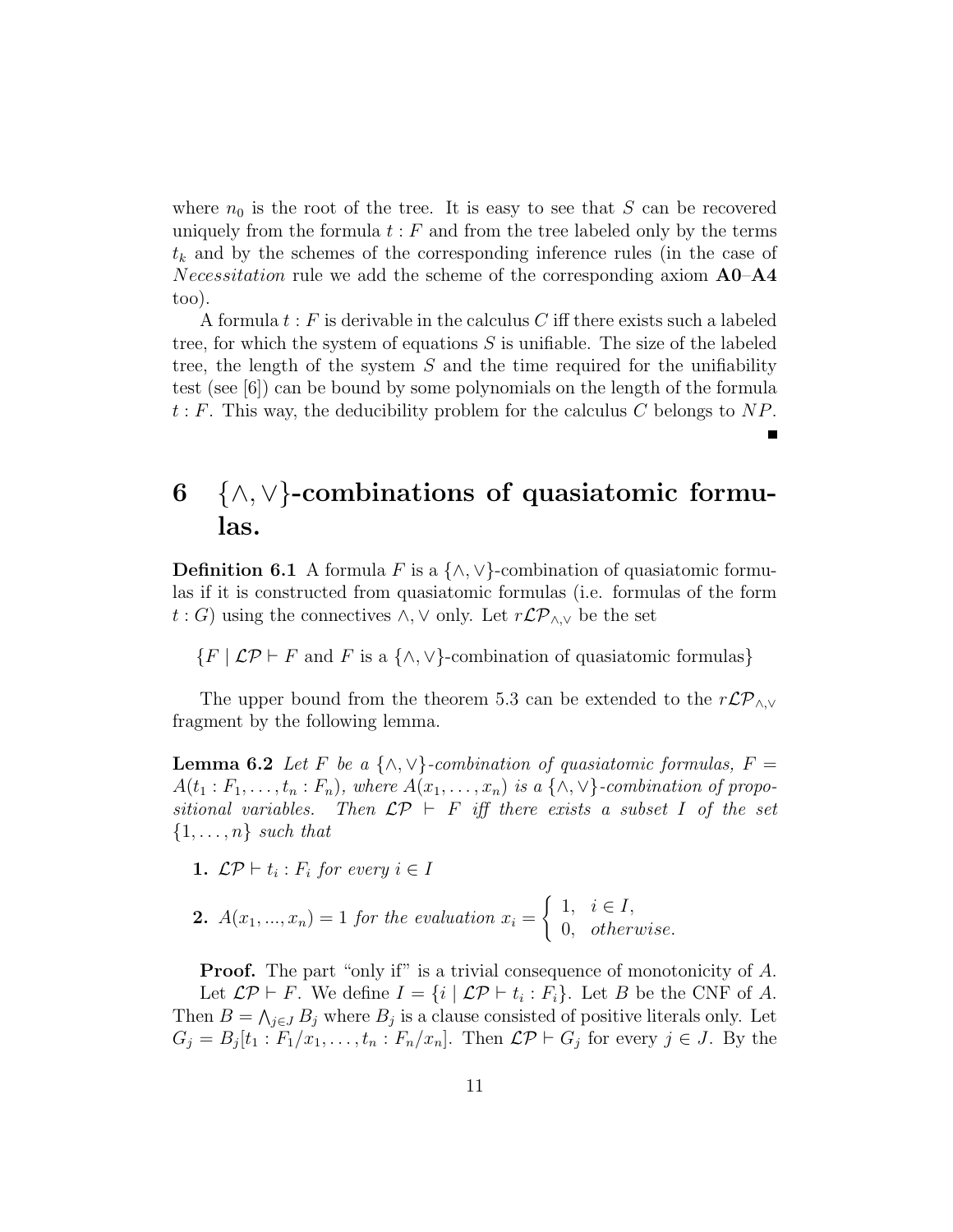where  $n_0$  is the root of the tree. It is easy to see that S can be recovered uniquely from the formula  $t : F$  and from the tree labeled only by the terms  $t_k$  and by the schemes of the corresponding inference rules (in the case of *Necessitation* rule we add the scheme of the corresponding axiom  $\mathbf{A0} - \mathbf{A4}$ too).

A formula  $t : F$  is derivable in the calculus C iff there exists such a labeled tree, for which the system of equations  $S$  is unifiable. The size of the labeled tree, the length of the system  $S$  and the time required for the unifiability test (see [6]) can be bound by some polynomials on the length of the formula  $t : F$ . This way, the deducibility problem for the calculus C belongs to NP.

## $6 \quad \wedge, \vee$  -combinations of quasiatomic formulas.

**Definition 6.1** A formula F is a  $\{\wedge, \vee\}$ -combination of quasiatomic formulas if it is constructed from quasiatomic formulas (i.e. formulas of the form  $t : G$ ) using the connectives ∧, ∨ only. Let  $r\mathcal{LP}_{\wedge,\vee}$  be the set

 $\{F \mid \mathcal{LP} \vdash F \text{ and } F \text{ is a } \{\wedge, \vee\}$ -combination of quasiatomic formulas}

The upper bound from the theorem 5.3 can be extended to the  $r\mathcal{LP}_{\wedge,\vee}$ fragment by the following lemma.

**Lemma 6.2** Let F be a  $\{\wedge, \vee\}$ -combination of quasiatomic formulas, F =  $A(t_1 : F_1, \ldots, t_n : F_n)$ , where  $A(x_1, \ldots, x_n)$  is a { $\wedge$ ,  $\vee$ }-combination of propositional variables. Then  $\mathcal{LP} \vdash F$  iff there exists a subset I of the set  $\{1, \ldots, n\}$  such that

**1.** 
$$
\mathcal{LP} \vdash t_i : F_i
$$
 for every  $i \in I$ 

**2.** 
$$
A(x_1,...,x_n) = 1
$$
 for the evaluation  $x_i = \begin{cases} 1, & i \in I, \\ 0, & otherwise. \end{cases}$ 

**Proof.** The part "only if" is a trivial consequence of monotonicity of A. Let  $\mathcal{LP} \vdash F$ . We define  $I = \{i \mid \mathcal{LP} \vdash t_i : F_i\}$ . Let B be the CNF of A. Then  $B = \bigwedge_{j \in J} B_j$  where  $B_j$  is a clause consisted of positive literals only. Let  $G_j = B_j[t_1 : F_1/x_1, \ldots, t_n : F_n/x_n]$ . Then  $\mathcal{LP} \vdash G_j$  for every  $j \in J$ . By the